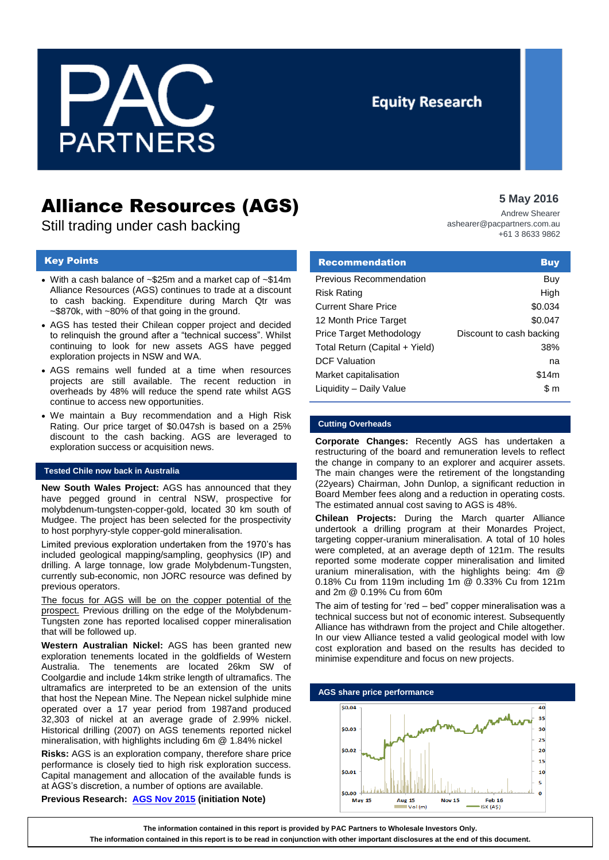

## **Equity Research**

# Alliance Resources (AGS)

Still trading under cash backing

## Key Points

- With a cash balance of ~\$25m and a market cap of ~\$14m Alliance Resources (AGS) continues to trade at a discount to cash backing. Expenditure during March Qtr was ~\$870k, with ~80% of that going in the ground.
- AGS has tested their Chilean copper project and decided to relinquish the ground after a "technical success". Whilst continuing to look for new assets AGS have pegged exploration projects in NSW and WA.
- AGS remains well funded at a time when resources projects are still available. The recent reduction in overheads by 48% will reduce the spend rate whilst AGS continue to access new opportunities.
- We maintain a Buy recommendation and a High Risk Rating. Our price target of \$0.047sh is based on a 25% discount to the cash backing. AGS are leveraged to exploration success or acquisition news.

## **Tested Chile now back in Australia**

**New South Wales Project:** AGS has announced that they have pegged ground in central NSW, prospective for molybdenum-tungsten-copper-gold, located 30 km south of Mudgee. The project has been selected for the prospectivity to host porphyry-style copper-gold mineralisation.

Limited previous exploration undertaken from the 1970's has included geological mapping/sampling, geophysics (IP) and drilling. A large tonnage, low grade Molybdenum-Tungsten, currently sub-economic, non JORC resource was defined by previous operators.

The focus for AGS will be on the copper potential of the prospect. Previous drilling on the edge of the Molybdenum-Tungsten zone has reported localised copper mineralisation that will be followed up.

**Western Australian Nickel:** AGS has been granted new exploration tenements located in the goldfields of Western Australia. The tenements are located 26km SW of Coolgardie and include 14km strike length of ultramafics. The ultramafics are interpreted to be an extension of the units that host the Nepean Mine. The Nepean nickel sulphide mine operated over a 17 year period from 1987and produced 32,303 of nickel at an average grade of 2.99% nickel. Historical drilling (2007) on AGS tenements reported nickel mineralisation, with highlights including 6m @ 1.84% nickel

**Risks:** AGS is an exploration company, therefore share price performance is closely tied to high risk exploration success. Capital management and allocation of the available funds is at AGS's discretion, a number of options are available.

**Previous Research: [AGS Nov 2015](https://gallery.mailchimp.com/d840bc7fc0c9b4c680a242d0a/files/151201_AGS_Research_Report.pdf) (initiation Note)**

## **5 May 2016**

Andrew Shearer ashearer@pacpartners.com.au +61 3 8633 9862

| <b>Recommendation</b>          | <b>Buy</b>               |
|--------------------------------|--------------------------|
| Previous Recommendation        | Buy                      |
| <b>Risk Rating</b>             | High                     |
| <b>Current Share Price</b>     | \$0.034                  |
| 12 Month Price Target          | \$0.047                  |
| Price Target Methodology       | Discount to cash backing |
| Total Return (Capital + Yield) | 38%                      |
| <b>DCF Valuation</b>           | na                       |
| Market capitalisation          | \$14m                    |
| Liquidity - Daily Value        | \$m                      |

## **Cutting Overheads**

**Corporate Changes:** Recently AGS has undertaken a restructuring of the board and remuneration levels to reflect the change in company to an explorer and acquirer assets. The main changes were the retirement of the longstanding (22years) Chairman, John Dunlop, a significant reduction in Board Member fees along and a reduction in operating costs. The estimated annual cost saving to AGS is 48%.

**Chilean Projects:** During the March quarter Alliance undertook a drilling program at their Monardes Project, targeting copper-uranium mineralisation. A total of 10 holes were completed, at an average depth of 121m. The results reported some moderate copper mineralisation and limited uranium mineralisation, with the highlights being: 4m @ 0.18% Cu from 119m including 1m @ 0.33% Cu from 121m and 2m @ 0.19% Cu from 60m

The aim of testing for 'red – bed" copper mineralisation was a technical success but not of economic interest. Subsequently Alliance has withdrawn from the project and Chile altogether. In our view Alliance tested a valid geological model with low cost exploration and based on the results has decided to minimise expenditure and focus on new projects.



**The information contained in this report is provided by PAC Partners to Wholesale Investors Only.** 

**The information contained in this report is to be read in conjunction with other important disclosures at the end of this document.**